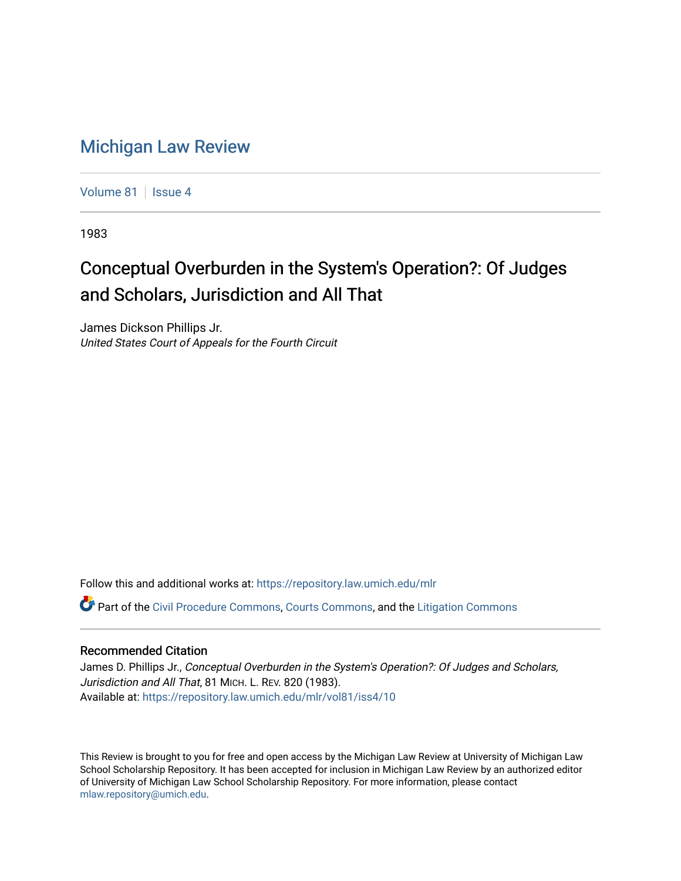## [Michigan Law Review](https://repository.law.umich.edu/mlr)

[Volume 81](https://repository.law.umich.edu/mlr/vol81) | [Issue 4](https://repository.law.umich.edu/mlr/vol81/iss4)

1983

# Conceptual Overburden in the System's Operation?: Of Judges and Scholars, Jurisdiction and All That

James Dickson Phillips Jr. United States Court of Appeals for the Fourth Circuit

Follow this and additional works at: [https://repository.law.umich.edu/mlr](https://repository.law.umich.edu/mlr?utm_source=repository.law.umich.edu%2Fmlr%2Fvol81%2Fiss4%2F10&utm_medium=PDF&utm_campaign=PDFCoverPages) 

Part of the [Civil Procedure Commons,](http://network.bepress.com/hgg/discipline/584?utm_source=repository.law.umich.edu%2Fmlr%2Fvol81%2Fiss4%2F10&utm_medium=PDF&utm_campaign=PDFCoverPages) [Courts Commons](http://network.bepress.com/hgg/discipline/839?utm_source=repository.law.umich.edu%2Fmlr%2Fvol81%2Fiss4%2F10&utm_medium=PDF&utm_campaign=PDFCoverPages), and the [Litigation Commons](http://network.bepress.com/hgg/discipline/910?utm_source=repository.law.umich.edu%2Fmlr%2Fvol81%2Fiss4%2F10&utm_medium=PDF&utm_campaign=PDFCoverPages)

### Recommended Citation

James D. Phillips Jr., Conceptual Overburden in the System's Operation?: Of Judges and Scholars, Jurisdiction and All That, 81 MICH. L. REV. 820 (1983). Available at: [https://repository.law.umich.edu/mlr/vol81/iss4/10](https://repository.law.umich.edu/mlr/vol81/iss4/10?utm_source=repository.law.umich.edu%2Fmlr%2Fvol81%2Fiss4%2F10&utm_medium=PDF&utm_campaign=PDFCoverPages) 

This Review is brought to you for free and open access by the Michigan Law Review at University of Michigan Law School Scholarship Repository. It has been accepted for inclusion in Michigan Law Review by an authorized editor of University of Michigan Law School Scholarship Repository. For more information, please contact [mlaw.repository@umich.edu.](mailto:mlaw.repository@umich.edu)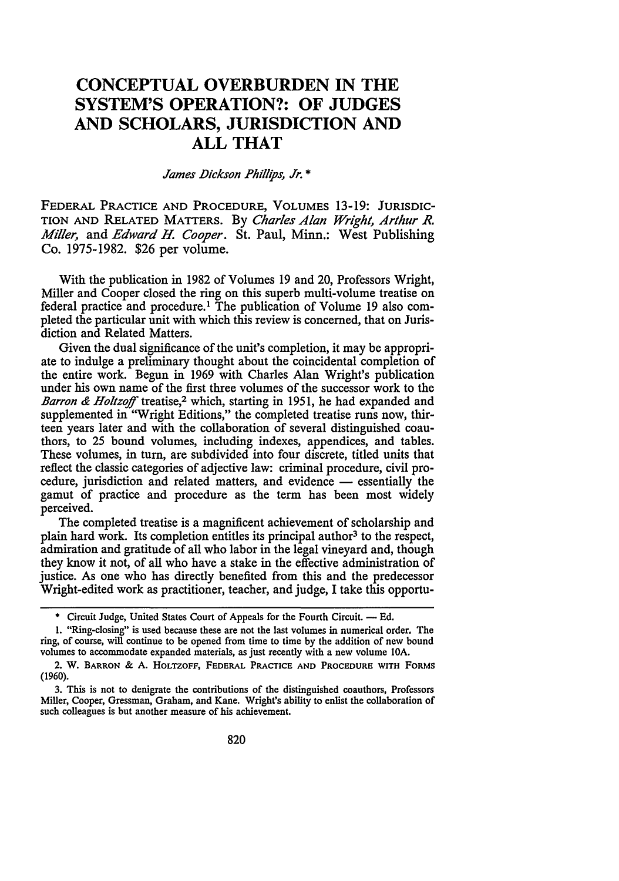## **CONCEPTUAL OVERBURDEN IN THE SYSTEM'S OPERATION?: OF JUDGES AND SCHOLARS, JURISDICTION AND ALL THAT**

#### *James Dickson Phillips, Jr.* \*

FEDERAL PRACTICE AND PROCEDURE, VOLUMES 13-19: JURISDIC-TION AND RELATED MATTERS. By *Charles Alan Wright, Arthur R. Miller,* and *Edward H. Cooper.* St. Paul, **Minn.:** West Publishing Co. 1975-1982. \$26 per volume.

With the publication in 1982 of Volumes 19 and 20, Professors Wright, Miller and Cooper closed the ring on this superb multi-volume treatise on federal practice and procedure.<sup>1</sup> The publication of Volume 19 also completed the particular unit with which this review is concerned, that on Jurisdiction and Related Matters.

Given the dual significance of the unit's completion, it may be appropriate to indulge a preliminary thought about the coincidental completion of the entire work. Begun in 1969 with Charles Alan Wright's publication under his own name of the first three volumes of the successor work to the *Barron & Holtzojf* treatise,2 which, starting in 1951, he had expanded and supplemented in "Wright Editions," the completed treatise runs now, thirteen years later and with the collaboration of several distinguished coauthors, to 25 bound volumes, including indexes, appendices, and tables. These volumes, in tum, are subdivided into four discrete, titled units that reflect the classic categories of adjective law: criminal procedure, civil pro $c$  cedure, jurisdiction and related matters, and evidence  $-$  essentially the gamut of practice and procedure as the term has been most widely perceived.

The completed treatise is a magnificent achievement of scholarship and plain hard work. Its completion entitles its principal author<sup>3</sup> to the respect, admiration and gratitude of all who labor in the legal vineyard and, though they know it not, of all who have a stake in the effective administration of justice. As one who has directly benefited from this and the predecessor Wright-edited work as practitioner, teacher, and judge, I take this opportu-

<sup>\*</sup> Circuit Judge, United States Court of Appeals for the Fourth Circuit. --- Ed.

I. "Ring-closing" is used because these are not the last volumes in numerical order. The ring, of course, will continue to be opened from time to time by the addition of new bound volumes to accommodate expanded materials, as just recently with a new volume IOA.

<sup>2.</sup> W. BARRON & A. HOLTZOFF, FEDERAL PRACTICE AND PROCEDURE WITH FORMS (1960).

<sup>3.</sup> This is not to denigrate the contributions of the distinguished coauthors, Professors Miller, Cooper, Gressman, Graham, and Kane. Wright's ability to enlist the collaboration of such colleagues is but another measure of his achievement.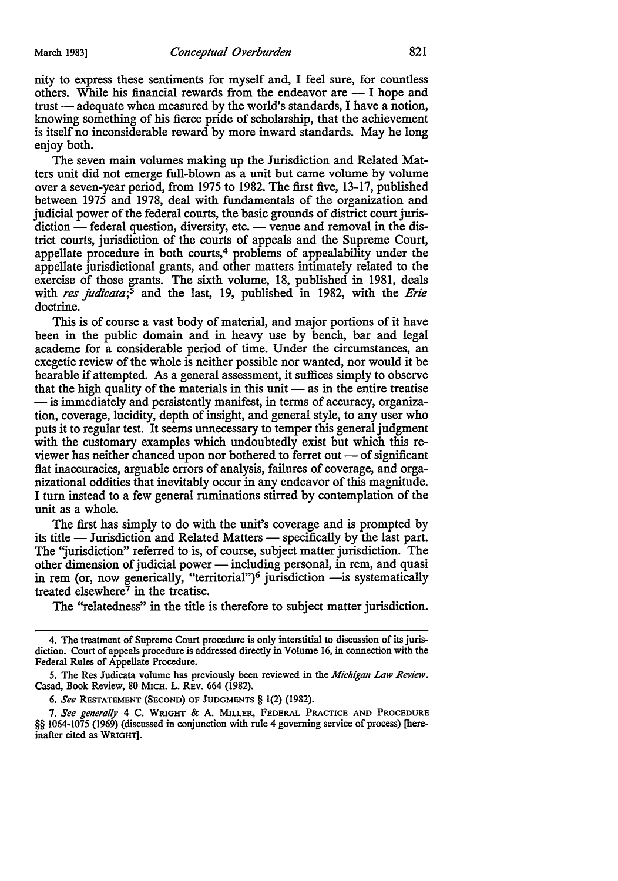nity to express these sentiments for myself and, I feel sure, for countless others. While his financial rewards from the endeavor are  $-1$  hope and trust — adequate when measured by the world's standards, I have a notion, knowing something of his fierce pride of scholarship, that the achievement is itself no inconsiderable reward by more inward standards. May he long enjoy both.

The seven main volumes making up the Jurisdiction and Related Matters unit did not emerge full-blown as a unit but came volume by volume over a seven-year period, from 1975 to 1982. The first five, 13-17, published between 1975 and 1978, deal with fundamentals of the organization and judicial power of the federal courts, the basic grounds of district court jurisdiction - federal question, diversity, etc. - venue and removal in the district courts, jurisdiction of the courts of appeals and the Supreme Court, appellate procedure in both courts,<sup>4</sup> problems of appealability under the appellate jurisdictional grants, and other matters intimately related to the exercise of those grants. The sixth volume, 18, published in 1981, deals with *res judicata*;<sup>5</sup> and the last, 19, published in 1982, with the *Erie* doctrine.

This is of course a vast body of material, and major portions of it have been in the public domain and in heavy use by bench, bar and legal academe for a considerable period of time. Under the circumstances, an exegetic review of the whole is neither possible nor wanted, nor would it be bearable if attempted. As a general assessment, it suffices simply to observe that the high quality of the materials in this unit  $-$  as in the entire treatise - is immediately and persistently manifest, in terms of accuracy, organization, coverage, lucidity, depth of insight, and general style, to any user who puts it to regular test. It seems unnecessary to temper this general judgment with the customary examples which undoubtedly exist but which this reviewer has neither chanced upon nor bothered to ferret out  $-$  of significant flat inaccuracies, arguable errors of analysis, failures of coverage, and organizational oddities that inevitably occur in any endeavor of this magnitude. I tum instead to a few general ruminations stirred by contemplation of the unit as a whole.

The first has simply to do with the unit's coverage and is prompted by its title — Jurisdiction and Related Matters — specifically by the last part. The "jurisdiction" referred to is, of course, subject matter jurisdiction. The other dimension of judicial power — including personal, in rem, and quasi in rem (or, now generically, "territorial")<sup>6</sup> jurisdiction  $\frac{1}{10}$  systematically treated elsewhere<sup>7</sup> in the treatise.

The "relatedness" in the title is therefore to subject matter jurisdiction.

6. *See* RESTATEMENT (SECOND) OF JUDGMENTS§ 1(2) (1982).

*1. See generally* 4 C. WRIGHT & A. MILLER, FEDERAL PRACTICE AND PROCEDURE §§ 1064-1075 (1969) (discussed in conjunction with rule 4 governing service of process) [hereinafter cited as WRIGHT].

<sup>4.</sup> The treatment of Supreme Court procedure is only interstitial to discussion of its jurisdiction. Court of appeals procedure is addressed directly in Volume 16, in connection with the Federal Rules of Appellate Procedure.

*<sup>5.</sup>* The Res Judicata volume has previously been reviewed in the *Michigan Law Review.*  Casad, Book Review, 80 MICH. L. REV. 664 (1982).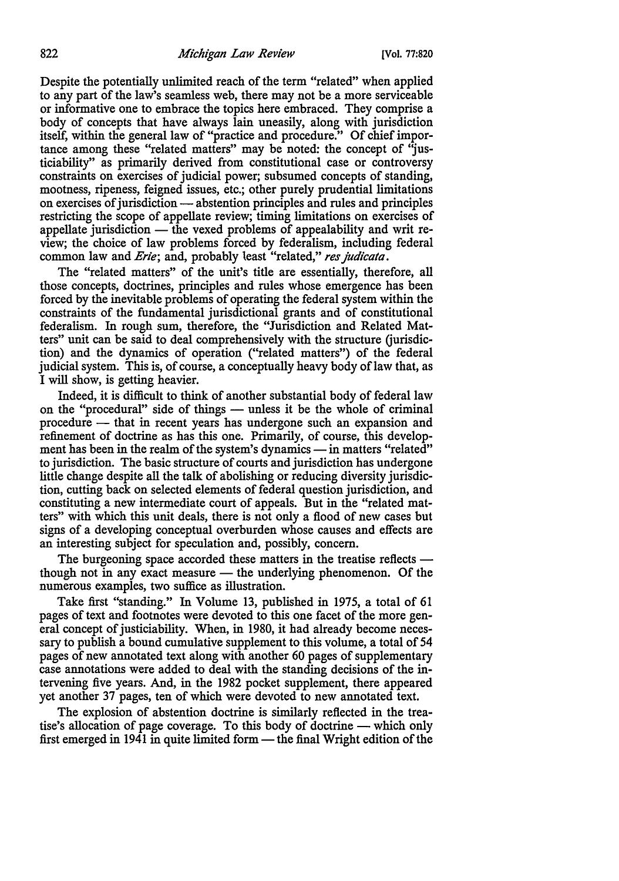Despite the potentially unlimited reach of the term "related" when applied to any part of the law's seamless web, there may not be a more serviceable or informative one to embrace the topics here embraced. They comprise a body of concepts that have always lain uneasily, along with jurisdiction itself, within the general law of "practice and procedure." Of chief importance among these "related matters" may be noted: the concept of "justiciability" as primarily derived from constitutional case or controversy constraints on exercises of judicial power; subsumed concepts of standing, mootness, ripeness, feigned issues, etc.; other purely prudential limitations on exercises of jurisdiction — abstention principles and rules and principles restricting the scope of appellate review; timing limitations on exercises of appellate jurisdiction — the vexed problems of appealability and writ review; the choice of law problems forced by federalism, including federal common law and *Erie;* and, probably least "related," *res judicala.* 

The "related matters" of the unit's title are essentially, therefore, all those concepts, doctrines, principles and rules whose emergence has been forced by the inevitable problems of operating the federal system within the constraints of the fundamental jurisdictional grants and of constitutional federalism. In rough sum, therefore, the "Jurisdiction and Related Matters" unit can be said to deal comprehensively with the structure (jurisdiction) and the dynamics of operation ("related matters") of the federal judicial system. This is, of course, a conceptually heavy body of law that, as I will show, is getting heavier.

Indeed, it is difficult to think of another substantial body of federal law on the "procedural" side of things — unless it be the whole of criminal procedure - that in recent years has undergone such an expansion and refinement of doctrine as has this one. Primarily, of course, this development has been in the realm of the system's dynamics — in matters "related" to jurisdiction. The basic structure of courts and jurisdiction has undergone little change despite all the talk of abolishing or reducing diversity jurisdiction, cutting back on selected elements of federal question jurisdiction, and constituting a new intermediate court of appeals. But in the "related matters" with which this unit deals, there is not only a flood of new cases but signs of a developing conceptual overburden whose causes and effects are an interesting subject for speculation and, possibly, concern.

The burgeoning space accorded these matters in the treatise reflects though not in any exact measure  $-$  the underlying phenomenon. Of the numerous examples, two suffice as illustration.

Take first "standing." In Volume 13, published in 1975, a total of 61 pages of text and footnotes were devoted to this one facet of the more general concept of justiciability. When, in 1980, it had already become necessary to publish a bound cumulative supplement to this volume, a total of 54 pages of new annotated text along with another 60 pages of supplementary case annotations were added to deal with the standing decisions of the intervening five years. And, in the 1982 pocket supplement, there appeared yet another 37 pages, ten of which were devoted to new annotated text.

The explosion of abstention doctrine is similarly reflected in the treatise's allocation of page coverage. To this body of doctrine — which only first emerged in 1941 in quite limited form  $-$  the final Wright edition of the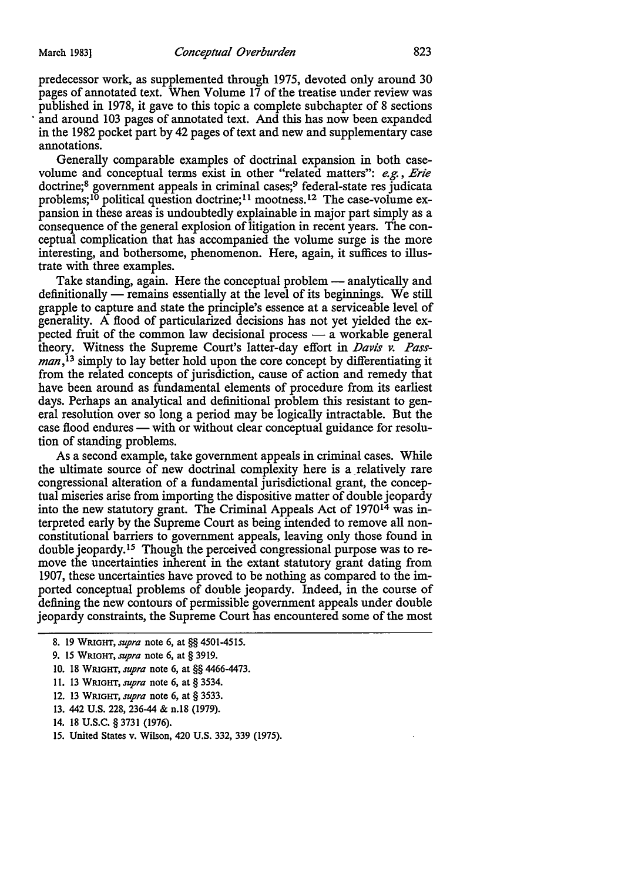predecessor work, as supplemented through 1975, devoted only around 30 pages of annotated text. When Volume 17 of the treatise under review was published in 1978, it gave to this topic a complete subchapter of 8 sections and around 103 pages of annotated text. And this has now been expanded in the 1982 pocket part by 42 pages of text and new and supplementary case

annotations.

Generally comparable examples of doctrinal expansion in both casevolume and conceptual terms exist in other "related matters": *e.g., Erie*  doctrine;<sup>8</sup> government appeals in criminal cases;<sup>9</sup> federal-state res judicata problems;<sup>10</sup> political question doctrine;<sup>11</sup> mootness.<sup>12</sup> The case-volume expansion in these areas is undoubtedly explainable in major part simply as a consequence of the general explosion of litigation in recent years. The conceptual complication that has accompanied the volume surge is the more interesting, and bothersome, phenomenon. Here, again, it suffices to illustrate with three examples.

Take standing, again. Here the conceptual problem — analytically and definitionally — remains essentially at the level of its beginnings. We still grapple to capture and state the principle's essence at a serviceable level of generality. A flood of particularized decisions has not yet yielded the expected fruit of the common law decisional process  $-$  a workable general theory. Witness the Supreme Court's latter-day effort in *Davis v. Passman,* 13 simply to lay better hold upon the core concept by differentiating it from the related concepts of jurisdiction, cause of action and remedy that have been around as fundamental elements of procedure from its earliest days. Perhaps an analytical and definitional problem this resistant to general resolution over so long a period may be logically intractable. But the case flood endures — with or without clear conceptual guidance for resolution of standing problems.

As a second example, take government appeals in criminal cases. While the ultimate source of new doctrinal complexity here is a relatively rare congressional alteration of a fundamental jurisdictional grant, the conceptual miseries arise from importing the dispositive matter of double jeopardy into the new statutory grant. The Criminal Appeals Act of 1970<sup>14</sup> was interpreted early by the Supreme Court as being intended to remove all nonconstitutional barriers to government appeals, leaving only those found in double jeopardy.15 Though the perceived congressional purpose was to remove the uncertainties inherent in the extant statutory grant dating from 1907, these uncertainties have proved to be nothing as compared to the imported conceptual problems of double jeopardy. Indeed, in the course of defining the new contours of permissible government appeals under double jeopardy constraints, the Supreme Court has encountered some of the most

- 9. 15 WRIGHT, *supra* note 6, at§ 3919.
- 10. 18 WRIGHT, *supra* note 6, at §§ 4466-4473.
- 11. 13 WRIGHT, *supra* note 6, at § 3534.
- 12. 13 WRIGHT, *supra* note 6, at § 3533.
- 13. 442 U.S. 228, 236-44 & n.18 (1979).
- 14. 18 u.s.c. § 3731 (1976).
- 15. United States v. Wilson, 420 U.S. 332, 339 (1975).

<sup>8. 19</sup> WRIGHT, *supra* note 6, at§§ 4501-4515.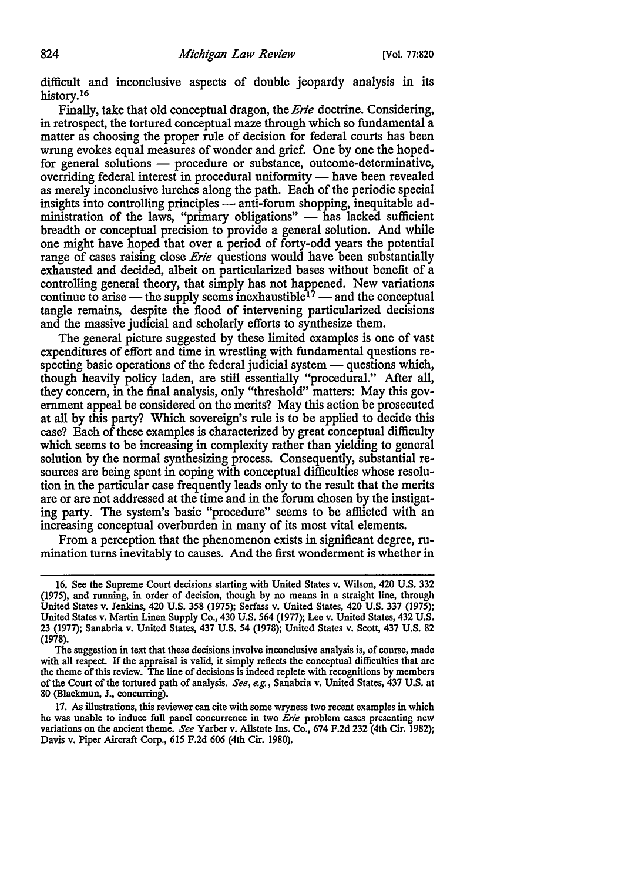difficult and inconclusive aspects of double jeopardy analysis in its history. <sup>16</sup>

Finally, take that old conceptual dragon, the *Erie* doctrine. Considering, in retrospect, the tortured conceptual maze through which so fundamental a matter as choosing the proper rule of decision for federal courts has been wrung evokes equal measures of wonder and grief. One by one the hopedfor general solutions - procedure or substance, outcome-determinative, overriding federal interest in procedural uniformity — have been revealed as merely inconclusive lurches along the path. Each of the periodic special insights into controlling principles — anti-forum shopping, inequitable administration of the laws, "primary obligations" - has lacked sufficient breadth or conceptual precision to provide a general solution. And while one might have hoped that over a period of forty-odd years the potential range of cases raising close *Erie* questions would have been substantially exhausted and decided, albeit on particularized bases without benefit of a controlling general theory, that simply has not happened. New variations continue to arise — the supply seems inexhaustible<sup>17</sup> — and the conceptual tangle remains, despite the flood of intervening particularized decisions and the massive judicial and scholarly efforts to synthesize them.

The general picture suggested by these limited examples is one of vast expenditures of effort and time in wrestling with fundamental questions respecting basic operations of the federal judicial system  $-$  questions which, though heavily policy laden, are still essentially "procedural." After all, they concern, in the final analysis, only "threshold" matters: May this government appeal be considered on the merits? May this action be prosecuted at all by this party? Which sovereign's rule is to be applied to decide this case? Each of these examples is characterized by great conceptual difficulty which seems to be increasing in complexity rather than yielding to general solution by the normal synthesizing process. Consequently, substantial resources are being spent in coping with conceptual difficulties whose resolution in the particular case frequently leads only to the result that the merits are or are not addressed at the time and in the forum chosen by the instigating party. The system's basic "procedure" seems to be afflicted with an increasing conceptual overburden in many of its most vital elements.

From a perception that the phenomenon exists in significant degree, rumination turns inevitably to causes. And the first wonderment is whether in

<sup>16.</sup> See the Supreme Court decisions starting with United States v. Wilson, 420 U.S. 332 (1975), and running, in order of decision, though by no means in a straight line, through United States v. Jenkins, 420 U.S. 358 (1975); Serfass v. United States, 420 U.S. 337 (1975); United States v. Martin Linen Supply Co., 430 U.S. 564 (1977); Lee v. United States, 432 U.S. 23 (1977); Sanabria v. United States, 437 U.S. 54 (1978); United States v. Scott, 437 U.S. 82 (1978).

The suggestion in text that these decisions involve inconclusive analysis is, of course, made with all respect. If the appraisal is valid, it simply reflects the conceptual difficulties that are the theme of this review. The line of decisions is indeed replete with recognitions by members of the Court of the tortured path of analysis. *See, e.g.,* Sanabria v. United States, 437 U.S. at 80 (Blackmun, J., concurring).

<sup>17.</sup> As illustrations, this reviewer can cite with some wryness two recent examples in which he was unable to induce full panel concurrence in two *Erie* problem cases presenting new variations on the ancient theme. *See* Yarber v. Allstate Ins. Co., 674 F.2d 232 (4th Cir. 1982); Davis v. Piper Aircraft Corp., 615 F.2d 606 (4th Cir. 1980).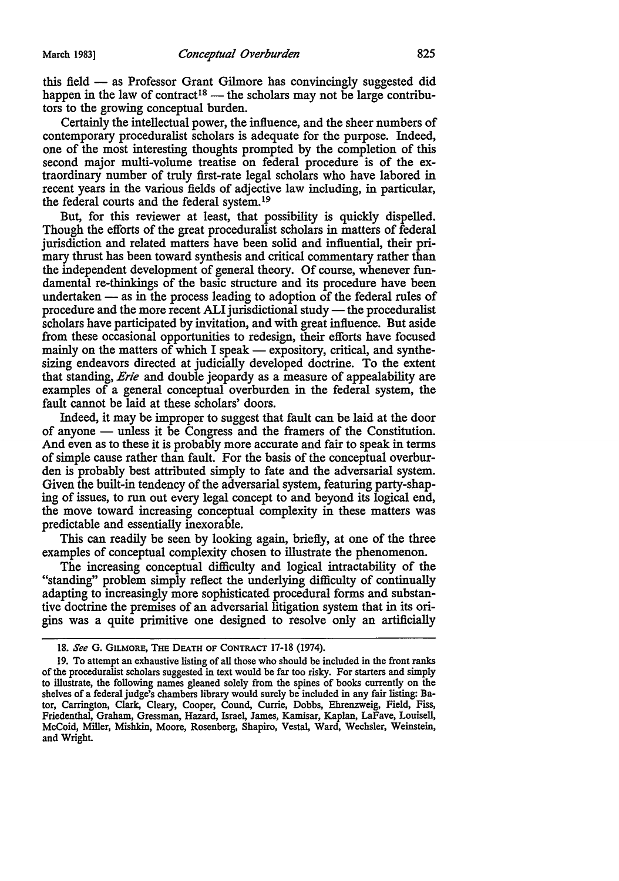this field - as Professor Grant Gilmore has convincingly suggested did happen in the law of contract<sup>18</sup> - the scholars may not be large contributors to the growing conceptual burden.

Certainly the intellectual power, the influence, and the sheer numbers of contemporary proceduralist scholars is adequate for the purpose. Indeed, one of the most interesting thoughts prompted by the completion of this second major multi-volume treatise on federal procedure is of the extraordinary number of truly first-rate legal scholars who have labored in recent years in the various fields of adjective law including, in particular, the federal courts and the federal system.19

But, for this reviewer at least, that possibility is quickly dispelled. Though the efforts of the great proceduralist scholars in matters of federal jurisdiction and related matters have been solid and influential, their primary thrust has been toward synthesis and critical commentary rather than the independent development of general theory. Of course, whenever fundamental re-thinkings of the basic structure and its procedure have been undertaken — as in the process leading to adoption of the federal rules of procedure and the more recent ALI jurisdictional study — the proceduralist scholars have participated by invitation, and with great influence. But aside from these occasional opportunities to redesign, their efforts have focused mainly on the matters of which I speak — expository, critical, and synthesizing endeavors directed at judicially developed doctrine. To the extent that standing, *Erie* and double jeopardy as a measure of appealability are examples of a general conceptual overburden in the federal system, the fault cannot be laid at these scholars' doors.

Indeed, it may be improper to suggest that fault can be laid at the door of anyone - unless it be Congress and the framers of the Constitution. And even as to these it is probably more accurate and fair to speak in terms of simple cause rather than fault. For the basis of the conceptual overburden is probably best attributed simply to fate and the adversarial system. Given the built-in tendency of the adversarial system, featuring party-shaping of issues, to run out every legal concept to and beyond its logical end, the move toward increasing conceptual complexity in these matters was predictable and essentially inexorable.

This can readily be seen by looking again, briefly, at one of the three examples of conceptual complexity chosen to illustrate the phenomenon.

The increasing conceptual difficulty and logical intractability of the "standing" problem simply reflect the underlying difficulty of continually adapting to increasingly more sophisticated procedural forms and substantive doctrine the premises of an adversarial litigation system that in its origins was a quite primitive one designed to resolve only an artificially

<sup>18.</sup> *See* G. GILMORE, THE DEATH OF CONTRACT 17-18 (1974).

<sup>19.</sup> To attempt an exhaustive listing of all those who should be included in the front ranks of the proceduralist scholars suggested in text would be far too risky. For starters and simply to illustrate, the following names gleaned solely from the spines of books currently on the shelves of a federal judge's chambers library would surely be included in any fair listing: Bator, Carrington, Clark, Cleary, Cooper, Cound, Currie, Dobbs, Ehrenzweig, Field, Piss, Friedenthal, Graham, Gressman, Hazard, Israel, James, Kamisar, Kaplan, LaFave, Louisell, McCoid, Miller, Mishkin, Moore, Rosenberg, Shapiro, Vestal, Ward, Wechsler, Weinstein, and Wright.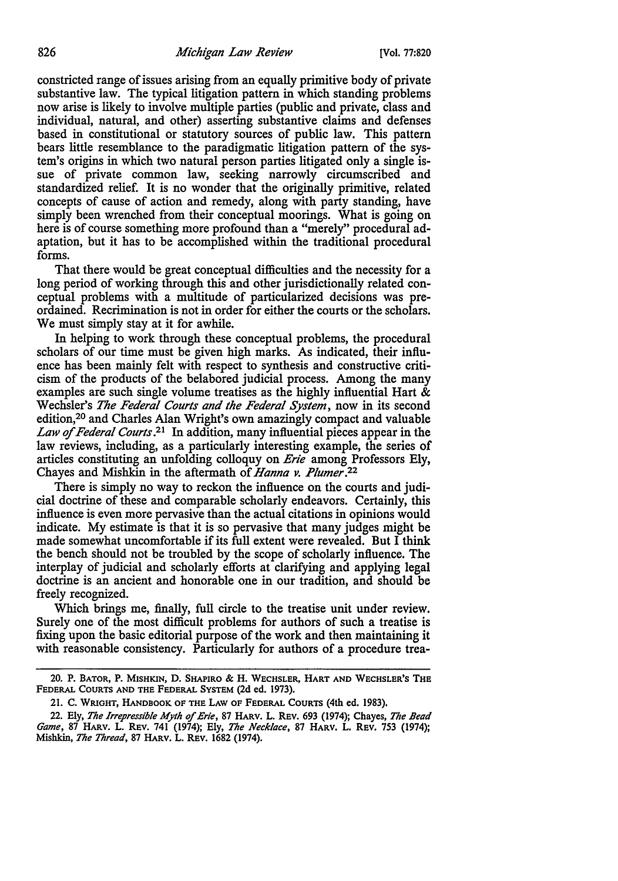constricted range of issues arising from an equally primitive body of private substantive law. The typical litigation pattern in which standing problems now arise is likely to involve multiple parties (public and private, class and individual, natural, and other) asserting substantive claims and defenses based in constitutional or statutory sources of public law. This pattern bears little resemblance to the paradigmatic litigation pattern of the system's origins in which two natural person parties litigated only a single issue of private common law, seeking narrowly circumscribed and standardized relief. It is no wonder that the originally primitive, related concepts of cause of action and remedy, along with party standing, have simply been wrenched from their conceptual moorings. What is going on here is of course something more profound than a "merely" procedural adaptation, but it has to be accomplished within the traditional procedural forms.

That there would be great conceptual difficulties and the necessity for a long period of working through this and other jurisdictionally related conceptual problems with a multitude of particularized decisions was preordained. Recrimination is not in order for either the courts or the scholars. We must simply stay at it for awhile.

In helping to work through these conceptual problems, the procedural scholars of our time must be given high marks. As indicated, their influence has been mainly felt with respect to synthesis and constructive criticism of the products of the belabored judicial process. Among the many examples are such single volume treatises as the highly influential Hart & W echsler's *The Federal Courts and the Federal System,* now in its second edition,20 and Charles Alan Wright's own amazingly compact and valuable Law of Federal Courts.<sup>21</sup> In addition, many influential pieces appear in the law reviews, including, as a particularly interesting example, the series of articles constituting an unfolding colloquy on *Erie* among Professors Ely, Chayes and Mishkin in the aftermath of *Hanna v. Plumer.22* 

There is simply no way to reckon the influence on the courts and judicial doctrine of these and comparable scholarly endeavors. Certainly, this influence is even more pervasive than the actual citations in opinions would indicate. My estimate is that it is so pervasive that many judges might be made somewhat uncomfortable if its full extent were revealed. But I think the bench should not be troubled by the scope of scholarly influence. The interplay of judicial and scholarly efforts at clarifying and applying legal doctrine is an ancient and honorable one in our tradition, and should be freely recognized.

Which brings me, finally, full circle to the treatise unit under review. Surely one of the most difficult problems for authors of such a treatise is fixing upon the basic editorial purpose of the work and then maintaining it with reasonable consistency. Particularly for authors of a procedure trea-

<sup>20.</sup> P. BATOR, P. MISHKIN, D. SHAPIRO & H. WECHSLER, HART AND WECHSLER'S THE FEDERAL COURTS AND THE FEDERAL SYSTEM (2d ed. 1973).

<sup>21.</sup> C. WRIGHT, HANDBOOK OF THE LAW OF FEDERAL COURTS (4th ed. 1983),

<sup>22.</sup> Ely, *The Irrepressible Myth of Erie,* 87 HARv. L. REV. 693 (1974); Chayes, *The Bead Game,* 87 HARV. L. REV. 741 (1974); Ely, *The Necklace,* 87 HARV, L. Rev. 753 (1974); Mishkin, *The Thread,* 87 HARV. L. REv. 1682 (1974).